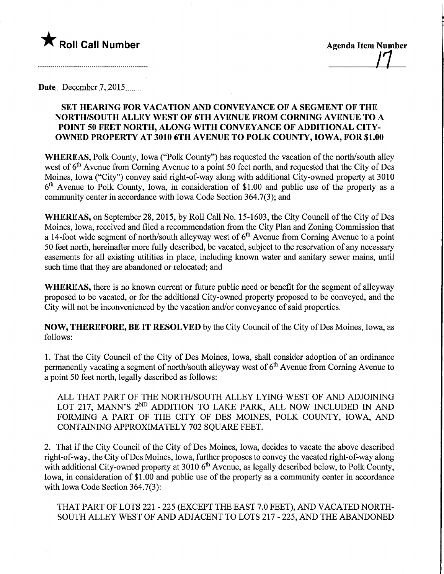

Date....December.7,20.1.5.

## SET HEARING FOR VACATION AND CONVEYANCE OF A SEGMENT OF THE NORTH/SOUTH ALLEY WEST OF 6TH AVENUE FROM CORNING AVENUE TO A POINT 50 FEET NORTH, ALONG WITH CONVEYANCE OF ADDITIONAL CITY-OWNED PROPERTY AT 3010 6TH AVENUE TO POLK COUNTY, IOWA, FOR \$1.00

WHEREAS, Polk County, Iowa ("Polk County") has requested the vacation of the north/south alley west of  $6<sup>th</sup>$  Avenue from Corning Avenue to a point 50 feet north, and requested that the City of Des Moines, Iowa ("City") convey said right-of-way along with additional City-owned property at 3010  $6<sup>th</sup>$  Avenue to Polk County, Iowa, in consideration of \$1.00 and public use of the property as a community center in accordance with Iowa Code Section 364.7(3); and

WHEREAS, on September 28, 2015, by Roll Call No. 15-1603, the City Council of the City of Des Moines, Iowa, received and filed a recommendation from the City Plan and Zoning Commission that a 14-foot wide segment of north/south alleyway west of  $6<sup>th</sup>$  Avenue from Corning Avenue to a point 50 feet north, hereinafter more fully described, be vacated, subject to the reservation of any necessary easements for all existing utilities in place, including known water and sanitary sewer mains, until such time that they are abandoned or relocated; and

WHEREAS, there is no known current or future public need or benefit for the segment of alleyway proposed to be vacated, or for the additional City-owned property proposed to be conveyed, and the City will not be inconvenienced by the vacation and/or conveyance of said properties.

NOW, THEREFORE, BE IT RESOLVED by the City Council of the City of Des Moines, Iowa, as follows:

1. That the City Council of the City of Des Moines, Iowa, shall consider adoption of an ordinance permanently vacating a segment of north/south alleyway west of  $6<sup>th</sup>$  Avenue from Corning Avenue to a point 50 feet north, legally described as follows:

ALL THAT PART OF THE NORTH/SOUTH ALLEY LYING WEST OF AND ADJOINING LOT 217, MANN'S 2<sup>ND</sup> ADDITION TO LAKE PARK, ALL NOW INCLUDED IN AND FORMING A PART OF THE CITY OF DES MOINES, POLK COUNTY, IOWA, AND CONTAINING APPROXIMATELY 702 SQUARE FEET.

2. That if the City Council of the City of Des Moines, Iowa, decides to vacate the above described right-of-way, the City of Des Moines, Iowa, further proposes to convey the vacated right-of-way along with additional City-owned property at 3010  $6<sup>th</sup>$  Avenue, as legally described below, to Polk County, Iowa, in consideration of \$1.00 and public use of the property as a community center in accordance with Iowa Code Section 364.7(3):

THAT PART OF LOTS 221 - 225 (EXCEPT THE EAST 7.0 FEET), AND VACATED NORTH-SOUTH ALLEY WEST OF AND ADJACENT TO LOTS 217 - 225, AND THE ABANDONED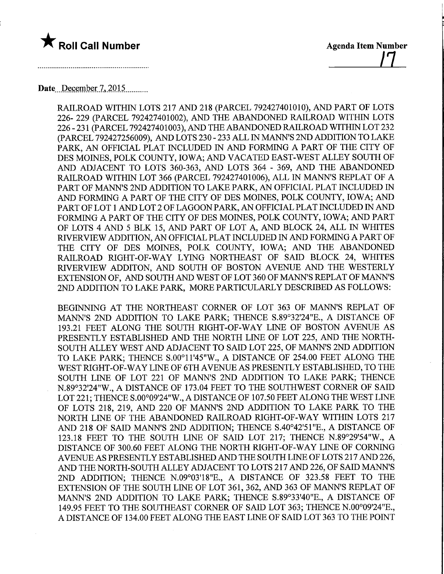

<u>|1</u>

## Date December 7, 2015

RAILROAD WITHIN LOTS 217 AND 218 (PARCEL 792427401010), AND PART OF LOTS 226- 229 (PARCEL 792427401002), AND THE ABANDONED RAILROAD WITHIN LOTS 226 - 231 (PARCEL 792427401003), AND THE ABANDONED RAILROAD WITHIN LOT 232 (PARCEL 792427256009), AND LOTS 230 - 233 ALL IN MANN'S 2ND ADDITION TO LAKE PARK, AN OFFICIAL PLAT INCLUDED IN AND FORMING A PART OF THE CITY OF DES MOINES, POLK COUNTY, IOWA; AND VACATED EAST-WEST ALLEY SOUTH OF AND ADJACENT TO LOTS 360-363, AND LOTS 364 - 369, AND THE ABANDONED RAILROAD WITHIN LOT 366 (PARCEL 792427401006), ALL IN MANN'S REPEAT OF A PART OF MANN'S 2ND ADDITION TO LAKE PARK, AN OFFICIAL PLAT INCLUDED IN AND FORMING A PART OF THE CITY OF DES MOINES, POLK COUNTY, IOWA; AND PART OF LOT 1 AND LOT 2 OF LAGOON PARK, AN OFFICIAL PLAT INCLUDED IN AND FORMING A PART OF THE CITY OF DES MOINES, POLK COUNTY, IOWA; AND PART OF LOTS 4 AND 5 BLK 15, AND PART OF LOT A, AND BLOCK 24, ALL IN WHITES RIVERVIEW ADDITION, AN OFFICIAL PLAT INCLUDED IN AND FORMING A PART OF THE CITY OF DES MOINES, POLK COUNTY, IOWA; AND THE ABANDONED RAILROAD RIGHT-OF-WAY LYING NORTHEAST OF SAID BLOCK 24, WHITES RIVERVIEW ADDITON, AND SOUTH OF BOSTON AVENUE AND THE WESTERLY EXTENSION OF, AND SOUTH AND WEST OF LOT 360 OF MANN'S REPEAT OF MANN'S 2ND ADDITION TO LAKE PARK, MORE PARTICULARLY DESCRIBED AS FOLLOWS:

BEGINNING AT THE NORTHEAST CORNER OF LOT 363 OF MANN'S REPEAT OF MANN'S 2ND ADDITION TO LAKE PARK; THENCE S.89°32'24"E., A DISTANCE OF 193.21 FEET ALONG THE SOUTH RIGHT-OF-WAY LINE OF BOSTON AVENUE AS PRESENTLY ESTABLISHED AND THE NORTH LINE OF LOT 225, AND THE NORTH-SOUTH ALLEY WEST AND ADJACENT TO SAID LOT 225, OF MANN'S 2ND ADDITION TO LAKE PARK; THENCE S.00°11'45"W., A DISTANCE OF 254.00 FEET ALONG THE WEST RIGHT-OF-WAY LINE OF 6TH AVENUE AS PRESENTLY ESTABLISHED, TO THE SOUTH LINE OF LOT 221 OF MANN'S 2ND ADDITION TO LAKE PARK; THENCE N.89°32'24"W., A DISTANCE OF 173.04 FEET TO THE SOUTHWEST CORNER OF SAID LOT 221; THENCE S.OO°09'24"W., A DISTANCE OF 107.50 FEET ALONG THE WEST LINE OF LOTS 218, 219, AND 220 OF MANN'S 2ND ADDITION TO LAKE PARK TO THE NORTH LINE OF THE ABANDONED RAILROAD RIGHT-OF-WAY WITHIN LOTS 217 AND 218 OF SAID MANN'S 2ND ADDITION; THENCE S.40°42'51"E., A DISTANCE OF 123.18 FEET TO THE SOUTH LINE OF SAID LOT 217; THENCE N.89°29'54"W., A DISTANCE OF 300.60 FEET ALONG THE NORTH RIGHT-OF-WAY LINE OF CORNING AVENUE AS PRESENTLY ESTABLISHED AND THE SOUTH LINE OF LOTS 217 AND 226, AND THE NORTH-SOUTH ALLEY ADJACENT TO LOTS 217 AND 226, OF SAID MANN'S 2ND ADDITION; THENCE N.09°03'18"E., A DISTANCE OF 323.58 FEET TO THE EXTENSION OF THE SOUTH LINE OF LOT 361, 362, AND 363 OF MANN'S REPLAT OF MANN'S 2ND ADDITION TO LAKE PARK; THENCE S.89°33'40"E., A DISTANCE OF 149.95 FEET TO THE SOUTHEAST CORNER OF SAID LOT 363; THENCE N.OO°09'24"E., A DISTANCE OF 134.00 FEET ALONG THE EAST LINE OF SAID LOT 363 TO THE POINT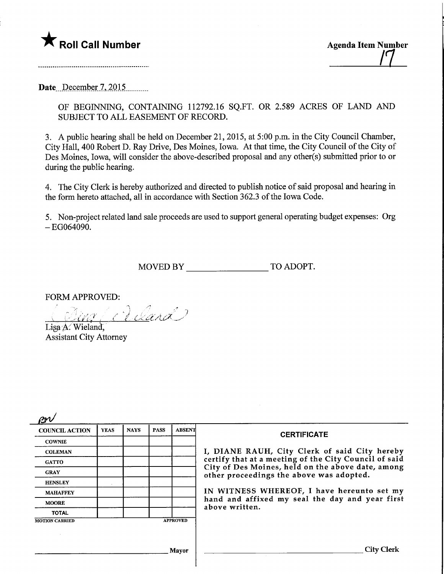

Date<sub>.</sub> December 7, 2015..........

OF BEGINNING, CONTAINING 112792.16 SQ.FT. OR 2.589 ACRES OF LAND AND SUBJECT TO ALL EASEMENT OF RECORD.

3. A public hearing shall be held on December 21, 2015, at 5:00 p.m. in the City Council Chamber, City Hall, 400 Robert D. Ray Drive, Des Moines, Iowa. At that time, the City Council of the City of Des Moines, Iowa, will consider the above-described proposal and any other(s) submitted prior to or during the public hearing.

4. The City Clerk is hereby authorized and directed to publish notice of said proposal and hearing in the form hereto attached, all in accordance with Section 362.3 of the Iowa Code.

5. Non-project related land sale proceeds are used to support general operating budget expenses: Org  $-EG064090.$ 

MOVED BY TO ADOPT.

FORM APPROVED:

Adard

Lisa A. Wieland, Assistant City Attorney

| <b>COUNCIL ACTION</b> | <b>YEAS</b> | <b>NAYS</b> | <b>PASS</b> | <b>ABSENT</b>   | <b>CERTIFICATE</b><br>I, DIANE RAUH, City Clerk of said City hereby                                                                                                                                              |  |
|-----------------------|-------------|-------------|-------------|-----------------|------------------------------------------------------------------------------------------------------------------------------------------------------------------------------------------------------------------|--|
| <b>COWNIE</b>         |             |             |             |                 |                                                                                                                                                                                                                  |  |
| <b>COLEMAN</b>        |             |             |             |                 |                                                                                                                                                                                                                  |  |
| <b>GATTO</b>          |             |             |             |                 | certify that at a meeting of the City Council of said                                                                                                                                                            |  |
| <b>GRAY</b>           |             |             |             |                 | City of Des Moines, held on the above date, among<br>other proceedings the above was adopted.<br>IN WITNESS WHEREOF, I have hereunto set my<br>hand and affixed my seal the day and year first<br>above written. |  |
| <b>HENSLEY</b>        |             |             |             |                 |                                                                                                                                                                                                                  |  |
| <b>MAHAFFEY</b>       |             |             |             |                 |                                                                                                                                                                                                                  |  |
| <b>MOORE</b>          |             |             |             |                 |                                                                                                                                                                                                                  |  |
| <b>TOTAL</b>          |             |             |             |                 |                                                                                                                                                                                                                  |  |
| <b>MOTION CARRIED</b> |             |             |             | <b>APPROVED</b> |                                                                                                                                                                                                                  |  |
|                       |             |             |             |                 |                                                                                                                                                                                                                  |  |
|                       |             |             |             | Mavor           | City Clerk                                                                                                                                                                                                       |  |